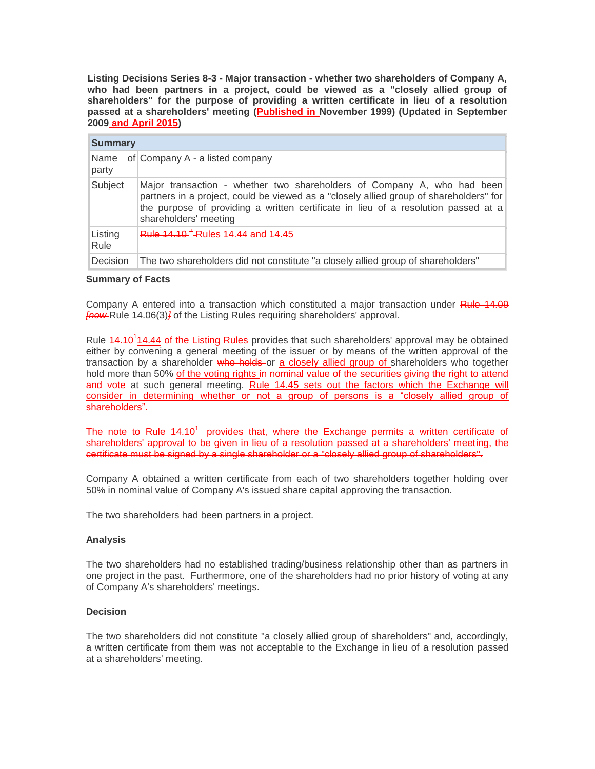**Listing Decisions Series 8-3 - Major transaction - whether two shareholders of Company A, who had been partners in a project, could be viewed as a "closely allied group of shareholders" for the purpose of providing a written certificate in lieu of a resolution passed at a shareholders' meeting (Published in November 1999) (Updated in September 2009 and April 2015)**

| <b>Summary</b>  |                                                                                                                                                                                                                                                                                  |
|-----------------|----------------------------------------------------------------------------------------------------------------------------------------------------------------------------------------------------------------------------------------------------------------------------------|
| party           | Name of Company $A - a$ listed company                                                                                                                                                                                                                                           |
| Subject         | Major transaction - whether two shareholders of Company A, who had been<br>partners in a project, could be viewed as a "closely allied group of shareholders" for<br>the purpose of providing a written certificate in lieu of a resolution passed at a<br>shareholders' meeting |
| Listing<br>Rule | Rule 14.10 <sup>-1</sup> -Rules 14.44 and 14.45                                                                                                                                                                                                                                  |
| Decision        | The two shareholders did not constitute "a closely allied group of shareholders"                                                                                                                                                                                                 |

## **Summary of Facts**

Company A entered into a transaction which constituted a major transaction under Rule 14.09 *[now* Rule 14.06(3)*]* of the Listing Rules requiring shareholders' approval.

Rule 14.10<sup>1</sup>14.44 of the Listing Rules-provides that such shareholders' approval may be obtained either by convening a general meeting of the issuer or by means of the written approval of the transaction by a shareholder who holds or a closely allied group of shareholders who together hold more than 50% of the voting rights in nominal value of the securities giving the right to attend and vote at such general meeting. Rule 14.45 sets out the factors which the Exchange will consider in determining whether or not a group of persons is a "closely allied group of shareholders".

The note to Rule 14.10<sup>4</sup> provides that, where the Exchange permits a written certificate of shareholders' approval to be given in lieu of a resolution passed at a shareholders' meeting, the certificate must be signed by a single shareholder or a "closely allied group of shareholders".

Company A obtained a written certificate from each of two shareholders together holding over 50% in nominal value of Company A's issued share capital approving the transaction.

The two shareholders had been partners in a project.

## **Analysis**

The two shareholders had no established trading/business relationship other than as partners in one project in the past. Furthermore, one of the shareholders had no prior history of voting at any of Company A's shareholders' meetings.

## **Decision**

The two shareholders did not constitute "a closely allied group of shareholders" and, accordingly, a written certificate from them was not acceptable to the Exchange in lieu of a resolution passed at a shareholders' meeting.